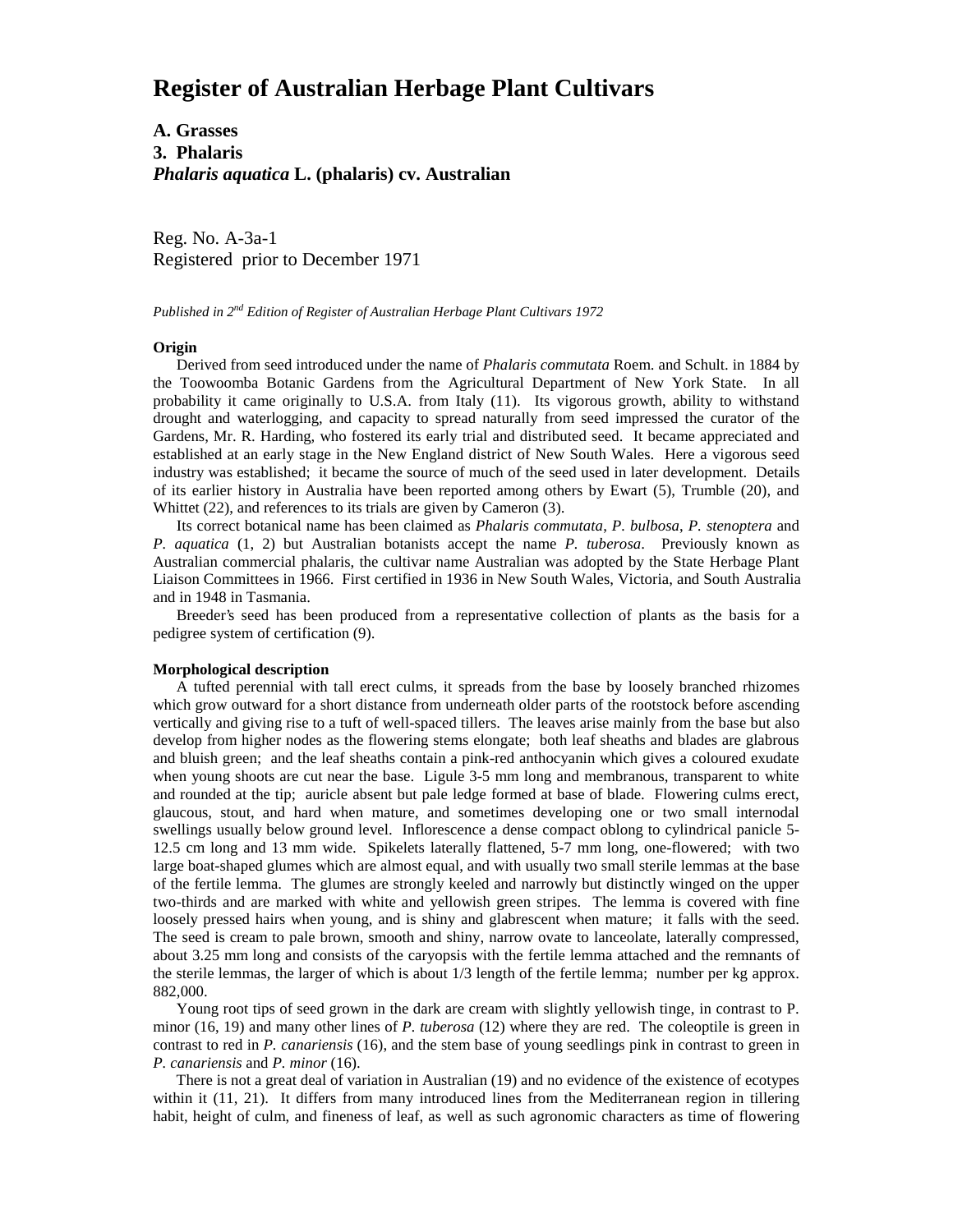# **Register of Australian Herbage Plant Cultivars**

**A. Grasses 3. Phalaris** *Phalaris aquatica* **L. (phalaris) cv. Australian**

Reg. No. A-3a-1 Registered prior to December 1971

## *Published in 2nd Edition of Register of Australian Herbage Plant Cultivars 1972*

#### **Origin**

 Derived from seed introduced under the name of *Phalaris commutata* Roem. and Schult. in 1884 by the Toowoomba Botanic Gardens from the Agricultural Department of New York State. In all probability it came originally to U.S.A. from Italy (11). Its vigorous growth, ability to withstand drought and waterlogging, and capacity to spread naturally from seed impressed the curator of the Gardens, Mr. R. Harding, who fostered its early trial and distributed seed. It became appreciated and established at an early stage in the New England district of New South Wales. Here a vigorous seed industry was established; it became the source of much of the seed used in later development. Details of its earlier history in Australia have been reported among others by Ewart (5), Trumble (20), and Whittet (22), and references to its trials are given by Cameron (3).

 Its correct botanical name has been claimed as *Phalaris commutata*, *P. bulbosa*, *P. stenoptera* and *P. aquatica* (1, 2) but Australian botanists accept the name *P. tuberosa*. Previously known as Australian commercial phalaris, the cultivar name Australian was adopted by the State Herbage Plant Liaison Committees in 1966. First certified in 1936 in New South Wales, Victoria, and South Australia and in 1948 in Tasmania.

 Breeder's seed has been produced from a representative collection of plants as the basis for a pedigree system of certification (9).

#### **Morphological description**

 A tufted perennial with tall erect culms, it spreads from the base by loosely branched rhizomes which grow outward for a short distance from underneath older parts of the rootstock before ascending vertically and giving rise to a tuft of well-spaced tillers. The leaves arise mainly from the base but also develop from higher nodes as the flowering stems elongate; both leaf sheaths and blades are glabrous and bluish green; and the leaf sheaths contain a pink-red anthocyanin which gives a coloured exudate when young shoots are cut near the base. Ligule 3-5 mm long and membranous, transparent to white and rounded at the tip; auricle absent but pale ledge formed at base of blade. Flowering culms erect, glaucous, stout, and hard when mature, and sometimes developing one or two small internodal swellings usually below ground level. Inflorescence a dense compact oblong to cylindrical panicle 5- 12.5 cm long and 13 mm wide. Spikelets laterally flattened, 5-7 mm long, one-flowered; with two large boat-shaped glumes which are almost equal, and with usually two small sterile lemmas at the base of the fertile lemma. The glumes are strongly keeled and narrowly but distinctly winged on the upper two-thirds and are marked with white and yellowish green stripes. The lemma is covered with fine loosely pressed hairs when young, and is shiny and glabrescent when mature; it falls with the seed. The seed is cream to pale brown, smooth and shiny, narrow ovate to lanceolate, laterally compressed, about 3.25 mm long and consists of the caryopsis with the fertile lemma attached and the remnants of the sterile lemmas, the larger of which is about 1/3 length of the fertile lemma; number per kg approx. 882,000.

 Young root tips of seed grown in the dark are cream with slightly yellowish tinge, in contrast to P. minor (16, 19) and many other lines of *P. tuberosa* (12) where they are red. The coleoptile is green in contrast to red in *P. canariensis* (16), and the stem base of young seedlings pink in contrast to green in *P. canariensis* and *P. minor* (16).

 There is not a great deal of variation in Australian (19) and no evidence of the existence of ecotypes within it (11, 21). It differs from many introduced lines from the Mediterranean region in tillering habit, height of culm, and fineness of leaf, as well as such agronomic characters as time of flowering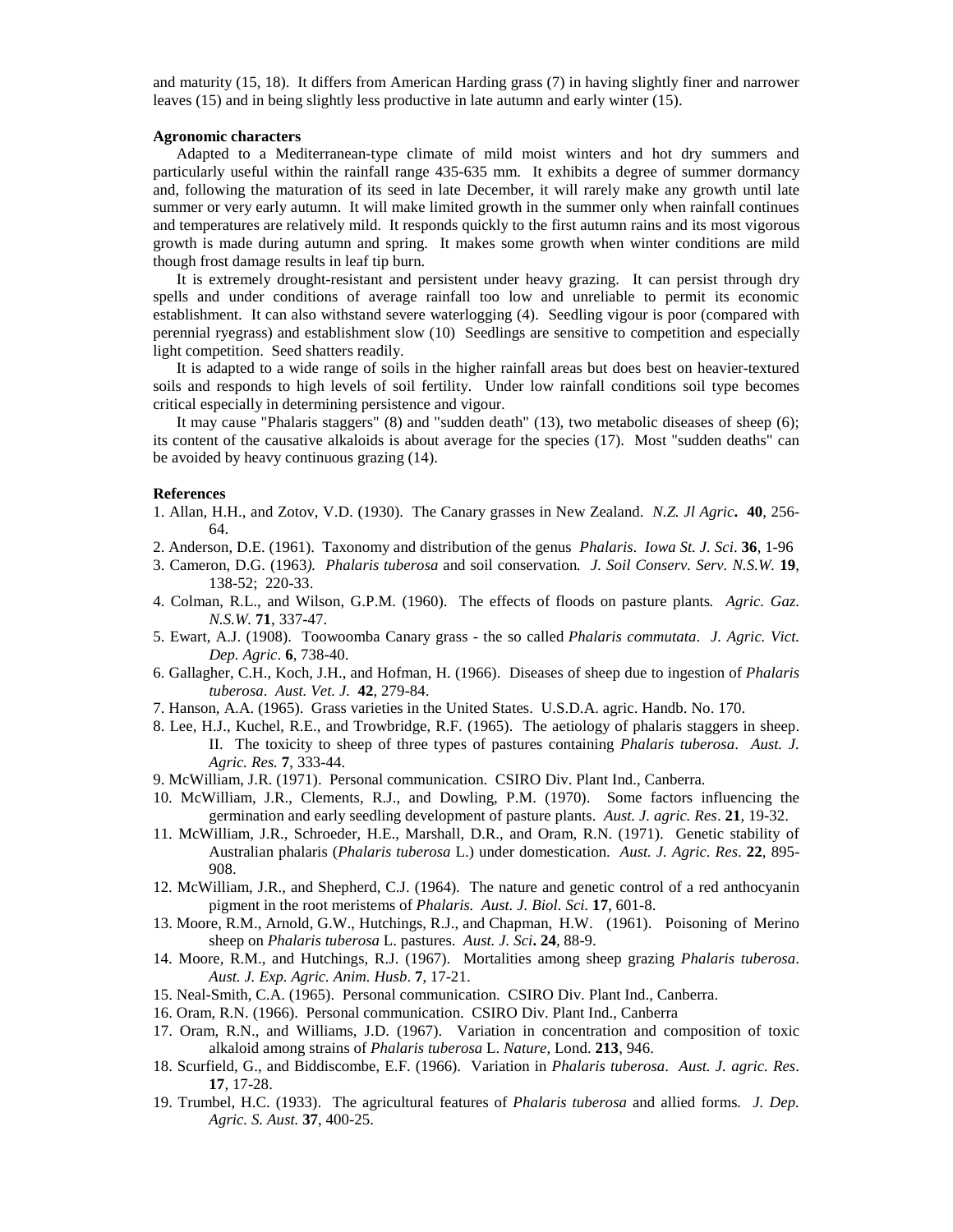and maturity (15, 18). It differs from American Harding grass (7) in having slightly finer and narrower leaves (15) and in being slightly less productive in late autumn and early winter (15).

#### **Agronomic characters**

 Adapted to a Mediterranean-type climate of mild moist winters and hot dry summers and particularly useful within the rainfall range 435-635 mm. It exhibits a degree of summer dormancy and, following the maturation of its seed in late December, it will rarely make any growth until late summer or very early autumn. It will make limited growth in the summer only when rainfall continues and temperatures are relatively mild. It responds quickly to the first autumn rains and its most vigorous growth is made during autumn and spring. It makes some growth when winter conditions are mild though frost damage results in leaf tip burn.

 It is extremely drought-resistant and persistent under heavy grazing. It can persist through dry spells and under conditions of average rainfall too low and unreliable to permit its economic establishment. It can also withstand severe waterlogging (4). Seedling vigour is poor (compared with perennial ryegrass) and establishment slow (10) Seedlings are sensitive to competition and especially light competition. Seed shatters readily.

 It is adapted to a wide range of soils in the higher rainfall areas but does best on heavier-textured soils and responds to high levels of soil fertility. Under low rainfall conditions soil type becomes critical especially in determining persistence and vigour.

 It may cause "Phalaris staggers" (8) and "sudden death" (13), two metabolic diseases of sheep (6); its content of the causative alkaloids is about average for the species (17). Most "sudden deaths" can be avoided by heavy continuous grazing (14).

### **References**

- 1. Allan, H.H., and Zotov, V.D. (1930). The Canary grasses in New Zealand. *N.Z. Jl Agric***. 40**, 256- 64.
- 2. Anderson, D.E. (1961). Taxonomy and distribution of the genus *Phalaris*. *Iowa St. J. Sci*. **36**, 1-96
- 3. Cameron, D.G. (1963*). Phalaris tuberosa* and soil conservation*. J. Soil Conserv. Serv. N.S.W.* **19**, 138-52; 220-33.
- 4. Colman, R.L., and Wilson, G.P.M. (1960). The effects of floods on pasture plants*. Agric. Gaz*. *N.S.W.* **71**, 337-47.
- 5. Ewart, A.J. (1908). Toowoomba Canary grass the so called *Phalaris commutata*. *J. Agric. Vict. Dep. Agric*. **6**, 738-40.
- 6. Gallagher, C.H., Koch, J.H., and Hofman, H. (1966). Diseases of sheep due to ingestion of *Phalaris tuberosa*. *Aust. Vet. J.* **42**, 279-84.
- 7. Hanson, A.A. (1965). Grass varieties in the United States. U.S.D.A. agric. Handb. No. 170.
- 8. Lee, H.J., Kuchel, R.E., and Trowbridge, R.F. (1965). The aetiology of phalaris staggers in sheep. II. The toxicity to sheep of three types of pastures containing *Phalaris tuberosa*. *Aust. J. Agric. Res.* **7**, 333-44.
- 9. McWilliam, J.R. (1971). Personal communication. CSIRO Div. Plant Ind., Canberra.
- 10. McWilliam, J.R., Clements, R.J., and Dowling, P.M. (1970). Some factors influencing the germination and early seedling development of pasture plants. *Aust. J. agric. Res*. **21**, 19-32.
- 11. McWilliam, J.R., Schroeder, H.E., Marshall, D.R., and Oram, R.N. (1971). Genetic stability of Australian phalaris (*Phalaris tuberosa* L.) under domestication. *Aust. J. Agric. Res*. **22**, 895- 908.
- 12. McWilliam, J.R., and Shepherd, C.J. (1964). The nature and genetic control of a red anthocyanin pigment in the root meristems of *Phalaris. Aust. J. Biol. Sci.* **17**, 601-8.
- 13. Moore, R.M., Arnold, G.W., Hutchings, R.J., and Chapman, H.W. (1961). Poisoning of Merino sheep on *Phalaris tuberosa* L. pastures. *Aust. J. Sci***. 24**, 88-9.
- 14. Moore, R.M., and Hutchings, R.J. (1967). Mortalities among sheep grazing *Phalaris tuberosa*. *Aust. J. Exp. Agric. Anim. Husb*. **7**, 17-21.
- 15. Neal-Smith, C.A. (1965). Personal communication. CSIRO Div. Plant Ind., Canberra.
- 16. Oram, R.N. (1966). Personal communication. CSIRO Div. Plant Ind., Canberra
- 17. Oram, R.N., and Williams, J.D. (1967). Variation in concentration and composition of toxic alkaloid among strains of *Phalaris tuberosa* L. *Nature*, Lond. **213**, 946.
- 18. Scurfield, G., and Biddiscombe, E.F. (1966). Variation in *Phalaris tuberosa*. *Aust. J. agric. Res*. **17**, 17-28.
- 19. Trumbel, H.C. (1933). The agricultural features of *Phalaris tuberosa* and allied forms*. J. Dep. Agric. S. Aust.* **37**, 400-25.